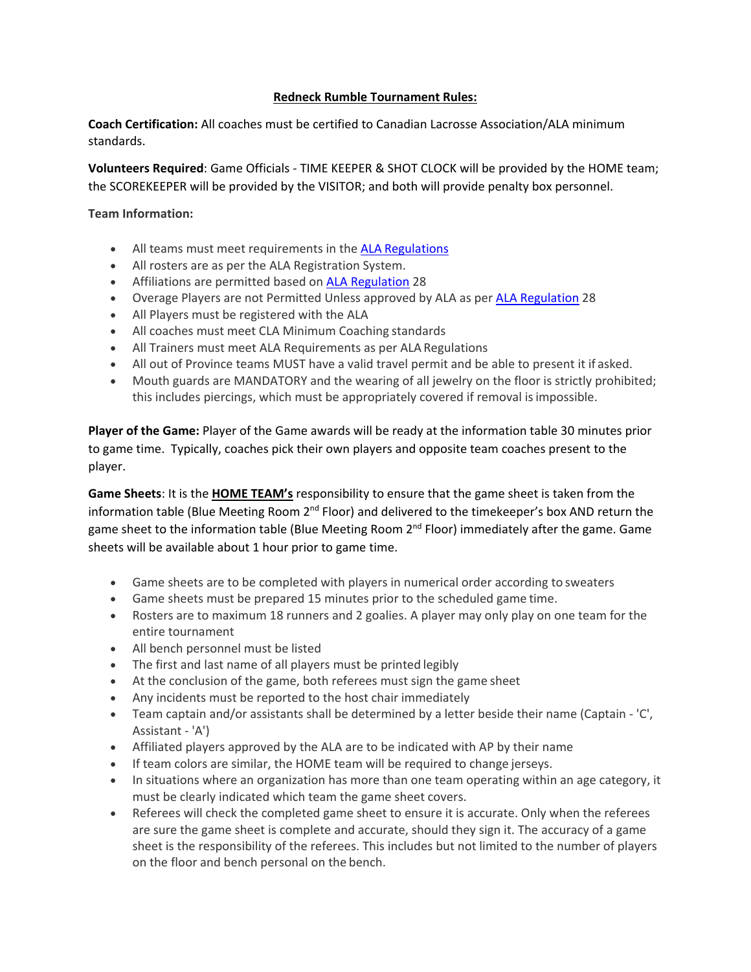### **Redneck Rumble Tournament Rules:**

**Coach Certification:** All coaches must be certified to Canadian Lacrosse Association/ALA minimum standards.

**Volunteers Required**: Game Officials - TIME KEEPER & SHOT CLOCK will be provided by the HOME team; the SCOREKEEPER will be provided by the VISITOR; and both will provide penalty box personnel.

**Team Information:**

- All teams must meet requirements in the [ALA Regulations](https://cloud.rampinteractive.com/ablax/files/bylaws-regulations-policies/regulations/ALA-Regulations-Master-v9.1.pdf)
- All rosters are as per the ALA Registration System.
- Affiliations are permitted based on **ALA Regulation** 28
- Overage Players are not Permitted Unless approved by ALA as per [ALA Regulation](https://cloud.rampinteractive.com/ablax/files/bylaws-regulations-policies/regulations/ALA-Regulations-Master-v9.1.pdf) 28
- All Players must be registered with the ALA
- All coaches must meet CLA Minimum Coaching standards
- All Trainers must meet ALA Requirements as per ALA Regulations
- All out of Province teams MUST have a valid travel permit and be able to present it if asked.
- Mouth guards are MANDATORY and the wearing of all jewelry on the floor is strictly prohibited; this includes piercings, which must be appropriately covered if removal is impossible.

**Player of the Game:** Player of the Game awards will be ready at the information table 30 minutes prior to game time. Typically, coaches pick their own players and opposite team coaches present to the player.

**Game Sheets**: It is the **HOME TEAM's** responsibility to ensure that the game sheet is taken from the information table (Blue Meeting Room  $2<sup>nd</sup>$  Floor) and delivered to the timekeeper's box AND return the game sheet to the information table (Blue Meeting Room  $2<sup>nd</sup>$  Floor) immediately after the game. Game sheets will be available about 1 hour prior to game time.

- Game sheets are to be completed with players in numerical order according to sweaters
- Game sheets must be prepared 15 minutes prior to the scheduled game time.
- Rosters are to maximum 18 runners and 2 goalies. A player may only play on one team for the entire tournament
- All bench personnel must be listed
- The first and last name of all players must be printed legibly
- At the conclusion of the game, both referees must sign the game sheet
- Any incidents must be reported to the host chair immediately
- Team captain and/or assistants shall be determined by a letter beside their name (Captain 'C', Assistant - 'A')
- Affiliated players approved by the ALA are to be indicated with AP by their name
- If team colors are similar, the HOME team will be required to change jerseys.
- In situations where an organization has more than one team operating within an age category, it must be clearly indicated which team the game sheet covers.
- Referees will check the completed game sheet to ensure it is accurate. Only when the referees are sure the game sheet is complete and accurate, should they sign it. The accuracy of a game sheet is the responsibility of the referees. This includes but not limited to the number of players on the floor and bench personal on the bench.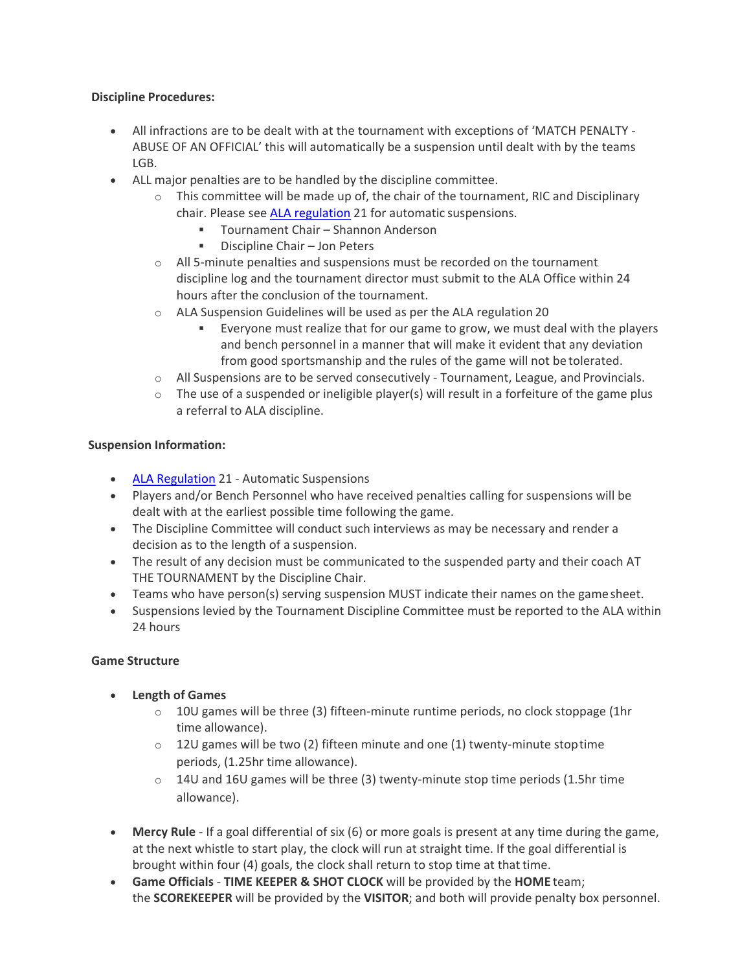## **Discipline Procedures:**

- All infractions are to be dealt with at the tournament with exceptions of 'MATCH PENALTY ABUSE OF AN OFFICIAL' this will automatically be a suspension until dealt with by the teams LGB.
- ALL major penalties are to be handled by the discipline committee.
	- $\circ$  This committee will be made up of, the chair of the tournament, RIC and Disciplinary chair. Please see [ALA regulation](https://cloud.rampinteractive.com/ablax/files/bylaws-regulations-policies/regulations/ALA-Regulations-Master-v9.1.pdf) 21 for automatic suspensions.
		- Tournament Chair Shannon Anderson
		- **•** Discipline Chair Jon Peters
	- o All 5-minute penalties and suspensions must be recorded on the tournament discipline log and the tournament director must submit to the ALA Office within 24 hours after the conclusion of the tournament.
	- o ALA Suspension Guidelines will be used as per the ALA regulation 20
		- Everyone must realize that for our game to grow, we must deal with the players and bench personnel in a manner that will make it evident that any deviation from good sportsmanship and the rules of the game will not be tolerated.
	- $\circ$  All Suspensions are to be served consecutively Tournament, League, and Provincials.
	- $\circ$  The use of a suspended or ineligible player(s) will result in a forfeiture of the game plus a referral to ALA discipline.

# **Suspension Information:**

- [ALA Regulation](https://cloud.rampinteractive.com/ablax/files/bylaws-regulations-policies/regulations/ALA-Regulations-Master-v9.1.pdf) 21 Automatic Suspensions
- Players and/or Bench Personnel who have received penalties calling for suspensions will be dealt with at the earliest possible time following the game.
- The Discipline Committee will conduct such interviews as may be necessary and render a decision as to the length of a suspension.
- The result of any decision must be communicated to the suspended party and their coach AT THE TOURNAMENT by the Discipline Chair.
- Teams who have person(s) serving suspension MUST indicate their names on the gamesheet.
- Suspensions levied by the Tournament Discipline Committee must be reported to the ALA within 24 hours

# **Game Structure**

- **Length of Games**
	- $\circ$  10U games will be three (3) fifteen-minute runtime periods, no clock stoppage (1hr time allowance).
	- $\circ$  12U games will be two (2) fifteen minute and one (1) twenty-minute stop time periods, (1.25hr time allowance).
	- $\circ$  14U and 16U games will be three (3) twenty-minute stop time periods (1.5hr time allowance).
- **Mercy Rule**  If a goal differential of six (6) or more goals is present at any time during the game, at the next whistle to start play, the clock will run at straight time. If the goal differential is brought within four (4) goals, the clock shall return to stop time at thattime.
- **Game Officials TIME KEEPER & SHOT CLOCK** will be provided by the **HOME** team; the **SCOREKEEPER** will be provided by the **VISITOR**; and both will provide penalty box personnel.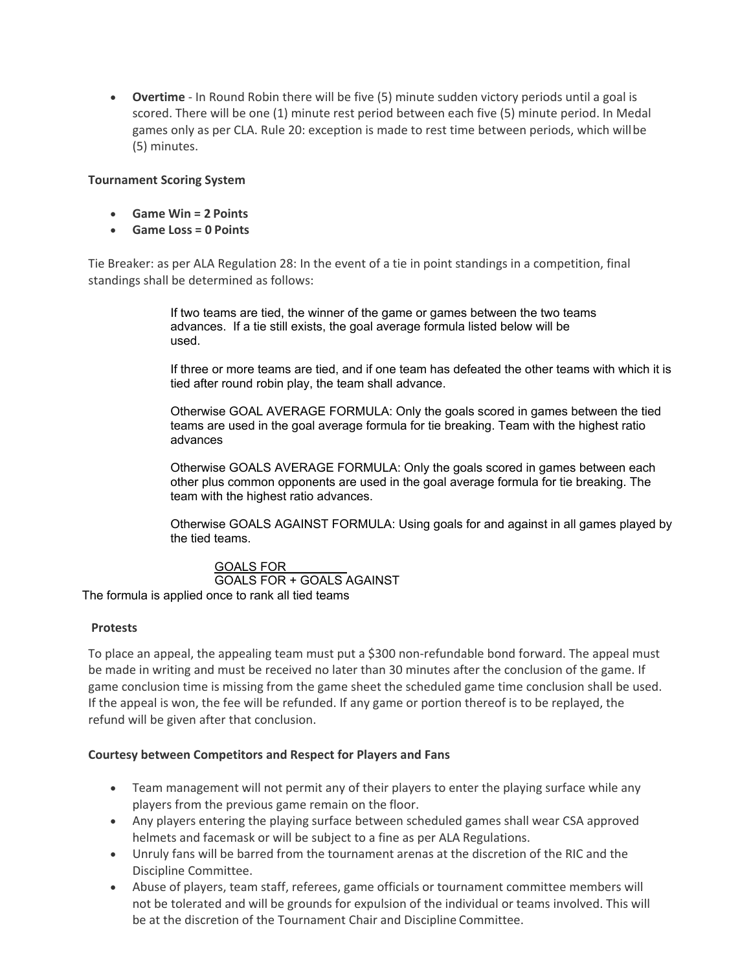• **Overtime** - In Round Robin there will be five (5) minute sudden victory periods until a goal is scored. There will be one (1) minute rest period between each five (5) minute period. In Medal games only as per CLA. Rule 20: exception is made to rest time between periods, which willbe (5) minutes.

## **Tournament Scoring System**

- **Game Win = 2 Points**
- **Game Loss = 0 Points**

Tie Breaker: as per ALA Regulation 28: In the event of a tie in point standings in a competition, final standings shall be determined as follows:

> If two teams are tied, the winner of the game or games between the two teams advances. If a tie still exists, the goal average formula listed below will be used.

If three or more teams are tied, and if one team has defeated the other teams with which it is tied after round robin play, the team shall advance.

Otherwise GOAL AVERAGE FORMULA: Only the goals scored in games between the tied teams are used in the goal average formula for tie breaking. Team with the highest ratio advances

Otherwise GOALS AVERAGE FORMULA: Only the goals scored in games between each other plus common opponents are used in the goal average formula for tie breaking. The team with the highest ratio advances.

Otherwise GOALS AGAINST FORMULA: Using goals for and against in all games played by the tied teams.

 GOALS FOR GOALS FOR + GOALS AGAINST The formula is applied once to rank all tied teams

#### **Protests**

To place an appeal, the appealing team must put a \$300 non-refundable bond forward. The appeal must be made in writing and must be received no later than 30 minutes after the conclusion of the game. If game conclusion time is missing from the game sheet the scheduled game time conclusion shall be used. If the appeal is won, the fee will be refunded. If any game or portion thereof is to be replayed, the refund will be given after that conclusion.

#### **Courtesy between Competitors and Respect for Players and Fans**

- Team management will not permit any of their players to enter the playing surface while any players from the previous game remain on the floor.
- Any players entering the playing surface between scheduled games shall wear CSA approved helmets and facemask or will be subject to a fine as per ALA Regulations.
- Unruly fans will be barred from the tournament arenas at the discretion of the RIC and the Discipline Committee.
- Abuse of players, team staff, referees, game officials or tournament committee members will not be tolerated and will be grounds for expulsion of the individual or teams involved. This will be at the discretion of the Tournament Chair and Discipline Committee.